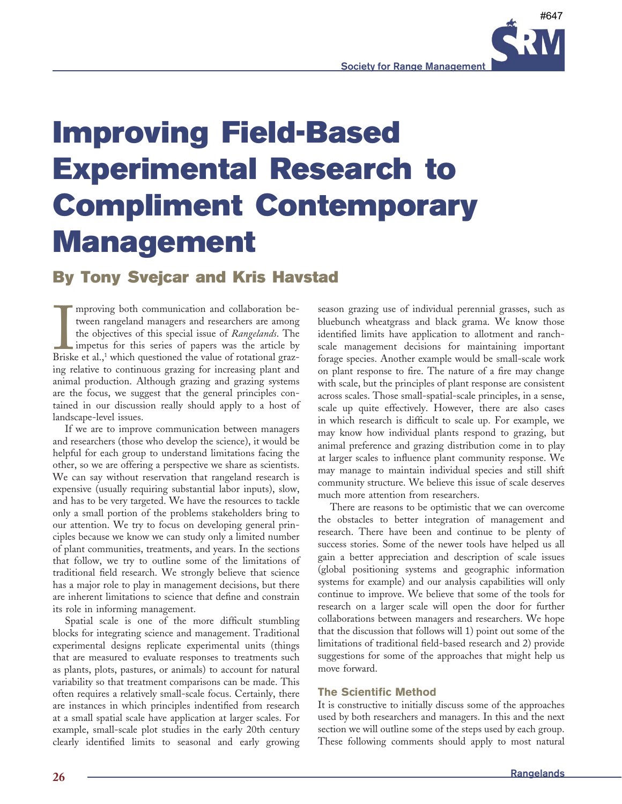#647

# **Improving Field-Based Experimental Research to Compliment Contemporary Management**

# **By Tony Svejcar and Kris Havstad**

mproving both communication and collaboration be-<br>tween rangeland managers and researchers are among<br>the objectives of this special issue of *Rangelands*. The<br>impetus for this series of papers was the article by<br>Briske et mproving both communication and collaboration between rangeland managers and researchers are among the objectives of this special issue of *Rangelands*. The **impetus** for this series of papers was the article by ing relative to continuous grazing for increasing plant and animal production. Although grazing and grazing systems are the focus, we suggest that the general principles contained in our discussion really should apply to a host of landscape-level issues.

If we are to improve communication between managers and researchers (those who develop the science), it would be helpful for each group to understand limitations facing the other, so we are offering a perspective we share as scientists. We can say without reservation that rangeland research is expensive (usually requiring substantial labor inputs), slow, and has to be very targeted. We have the resources to tackle only a small portion of the problems stakeholders bring to our attention. We try to focus on developing general principles because we know we can study only a limited number of plant communities, treatments, and years. In the sections that follow, we try to outline some of the limitations of traditional field research. We strongly believe that science has a major role to play in management decisions, but there are inherent limitations to science that define and constrain its role in informing management.

Spatial scale is one of the more difficult stumbling blocks for integrating science and management. Traditional experimental designs replicate experimental units (things that are measured to evaluate responses to treatments such as plants, plots, pastures, or animals) to account for natural variability so that treatment comparisons can be made. This often requires a relatively small-scale focus. Certainly, there are instances in which principles indentified from research at a small spatial scale have application at larger scales. For example, small-scale plot studies in the early 20th century clearly identified limits to seasonal and early growing season grazing use of individual perennial grasses, such as bluebunch wheatgrass and black grama. We know those identified limits have application to allotment and ranchscale management decisions for maintaining important forage species. Another example would be small-scale work on plant response to fire. The nature of a fire may change with scale, but the principles of plant response are consistent across scales. Those small-spatial-scale principles, in a sense, scale up quite effectively. However, there are also cases in which research is difficult to scale up. For example, we may know how individual plants respond to grazing, but animal preference and grazing distribution come in to play at larger scales to influence plant community response. We may manage to maintain individual species and still shift community structure. We believe this issue of scale deserves much more attention from researchers.

There are reasons to be optimistic that we can overcome the obstacles to better integration of management and research. There have been and continue to be plenty of success stories. Some of the newer tools have helped us all gain a better appreciation and description of scale issues (global positioning systems and geographic information systems for example) and our analysis capabilities will only continue to improve. We believe that some of the tools for research on a larger scale will open the door for further collaborations between managers and researchers. We hope that the discussion that follows will 1) point out some of the limitations of traditional field-based research and 2) provide suggestions for some of the approaches that might help us move forward.

## **The Scientific Method**

It is constructive to initially discuss some of the approaches used by both researchers and managers. In this and the next section we will outline some of the steps used by each group. These following comments should apply to most natural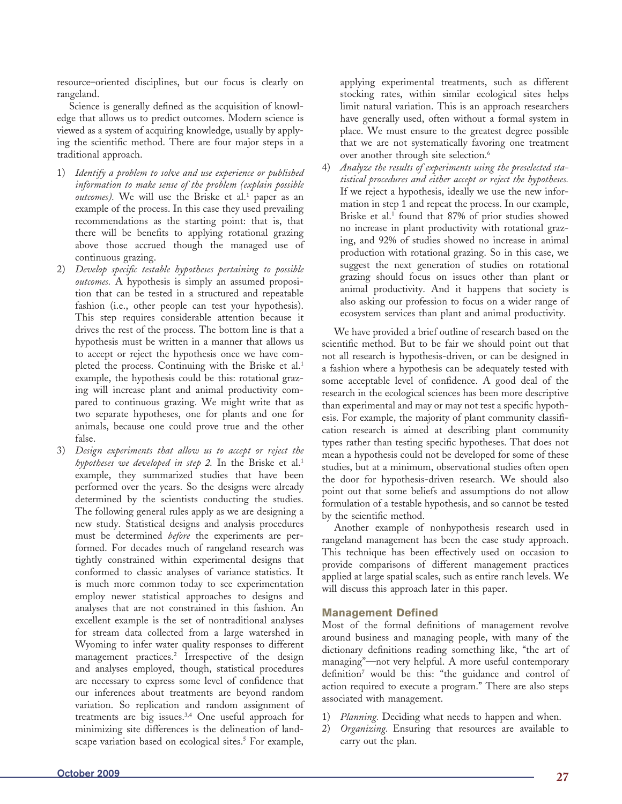resource–oriented disciplines, but our focus is clearly on rangeland.

Science is generally defined as the acquisition of knowledge that allows us to predict outcomes. Modern science is viewed as a system of acquiring knowledge, usually by applying the scientific method. There are four major steps in a traditional approach.

- 1) *Identify a problem to solve and use experience or published information to make sense of the problem (explain possible*  outcomes). We will use the Briske et al.<sup>1</sup> paper as an example of the process. In this case they used prevailing recommendations as the starting point: that is, that there will be benefits to applying rotational grazing above those accrued though the managed use of continuous grazing.
- 2) *Develop specifi c testable hypotheses pertaining to possible outcomes.* A hypothesis is simply an assumed proposition that can be tested in a structured and repeatable fashion (i.e., other people can test your hypothesis). This step requires considerable attention because it drives the rest of the process. The bottom line is that a hypothesis must be written in a manner that allows us to accept or reject the hypothesis once we have completed the process. Continuing with the Briske et al.<sup>1</sup> example, the hypothesis could be this: rotational grazing will increase plant and animal productivity compared to continuous grazing. We might write that as two separate hypotheses, one for plants and one for animals, because one could prove true and the other false.
- 3) *Design experiments that allow us to accept or reject the hypotheses we developed in step 2.* In the Briske et al.1 example, they summarized studies that have been performed over the years. So the designs were already determined by the scientists conducting the studies. The following general rules apply as we are designing a new study. Statistical designs and analysis procedures must be determined *before* the experiments are performed. For decades much of rangeland research was tightly constrained within experimental designs that conformed to classic analyses of variance statistics. It is much more common today to see experimentation employ newer statistical approaches to designs and analyses that are not constrained in this fashion. An excellent example is the set of nontraditional analyses for stream data collected from a large watershed in Wyoming to infer water quality responses to different management practices.2 Irrespective of the design and analyses employed, though, statistical procedures are necessary to express some level of confidence that our inferences about treatments are beyond random variation. So replication and random assignment of treatments are big issues.3,4 One useful approach for minimizing site differences is the delineation of landscape variation based on ecological sites.<sup>5</sup> For example,

applying experimental treatments, such as different stocking rates, within similar ecological sites helps limit natural variation. This is an approach researchers have generally used, often without a formal system in place. We must ensure to the greatest degree possible that we are not systematically favoring one treatment over another through site selection.<sup>6</sup>

4) *Analyze the results of experiments using the preselected statistical procedures and either accept or reject the hypotheses.* If we reject a hypothesis, ideally we use the new information in step 1 and repeat the process. In our example, Briske et al.<sup>1</sup> found that 87% of prior studies showed no increase in plant productivity with rotational grazing, and 92% of studies showed no increase in animal production with rotational grazing. So in this case, we suggest the next generation of studies on rotational grazing should focus on issues other than plant or animal productivity. And it happens that society is also asking our profession to focus on a wider range of ecosystem services than plant and animal productivity.

We have provided a brief outline of research based on the scientific method. But to be fair we should point out that not all research is hypothesis-driven, or can be designed in a fashion where a hypothesis can be adequately tested with some acceptable level of confidence. A good deal of the research in the ecological sciences has been more descriptive than experimental and may or may not test a specific hypothesis. For example, the majority of plant community classification research is aimed at describing plant community types rather than testing specific hypotheses. That does not mean a hypothesis could not be developed for some of these studies, but at a minimum, observational studies often open the door for hypothesis-driven research. We should also point out that some beliefs and assumptions do not allow formulation of a testable hypothesis, and so cannot be tested by the scientific method.

Another example of nonhypothesis research used in rangeland management has been the case study approach. This technique has been effectively used on occasion to provide comparisons of different management practices applied at large spatial scales, such as entire ranch levels. We will discuss this approach later in this paper.

#### **Management Defined**

Most of the formal definitions of management revolve around business and managing people, with many of the dictionary definitions reading something like, "the art of managing"—not very helpful. A more useful contemporary definition<sup>7</sup> would be this: "the guidance and control of action required to execute a program." There are also steps associated with management.

- 1) *Planning.* Deciding what needs to happen and when.
- 2) *Organizing.* Ensuring that resources are available to carry out the plan.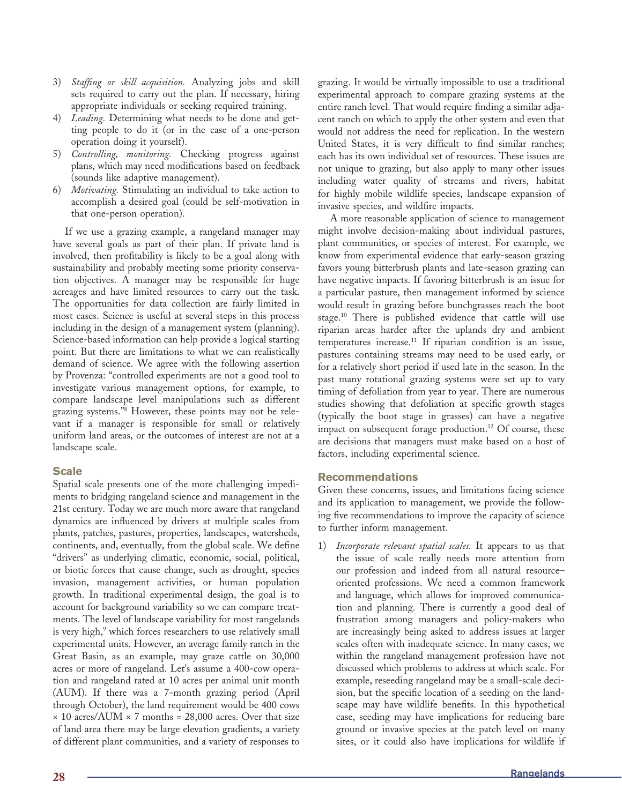- 3) Staffing or skill acquisition. Analyzing jobs and skill sets required to carry out the plan. If necessary, hiring appropriate individuals or seeking required training.
- 4) *Leading.* Determining what needs to be done and getting people to do it (or in the case of a one-person operation doing it yourself).
- 5) *Controlling, monitoring.* Checking progress against plans, which may need modifications based on feedback (sounds like adaptive management).
- 6) *Motivating.* Stimulating an individual to take action to accomplish a desired goal (could be self-motivation in that one-person operation).

If we use a grazing example, a rangeland manager may have several goals as part of their plan. If private land is involved, then profitability is likely to be a goal along with sustainability and probably meeting some priority conservation objectives. A manager may be responsible for huge acreages and have limited resources to carry out the task. The opportunities for data collection are fairly limited in most cases. Science is useful at several steps in this process including in the design of a management system (planning). Science-based information can help provide a logical starting point. But there are limitations to what we can realistically demand of science. We agree with the following assertion by Provenza: "controlled experiments are not a good tool to investigate various management options, for example, to compare landscape level manipulations such as different grazing systems."8 However, these points may not be relevant if a manager is responsible for small or relatively uniform land areas, or the outcomes of interest are not at a landscape scale.

## **Scale**

Spatial scale presents one of the more challenging impediments to bridging rangeland science and management in the 21st century. Today we are much more aware that rangeland dynamics are influenced by drivers at multiple scales from plants, patches, pastures, properties, landscapes, watersheds, continents, and, eventually, from the global scale. We define "drivers" as underlying climatic, economic, social, political, or biotic forces that cause change, such as drought, species invasion, management activities, or human population growth. In traditional experimental design, the goal is to account for background variability so we can compare treatments. The level of landscape variability for most rangelands is very high,<sup>9</sup> which forces researchers to use relatively small experimental units. However, an average family ranch in the Great Basin, as an example, may graze cattle on 30,000 acres or more of rangeland. Let's assume a 400-cow operation and rangeland rated at 10 acres per animal unit month (AUM). If there was a 7-month grazing period (April through October), the land requirement would be 400 cows  $\times$  10 acres/AUM  $\times$  7 months = 28,000 acres. Over that size of land area there may be large elevation gradients, a variety of different plant communities, and a variety of responses to

grazing. It would be virtually impossible to use a traditional experimental approach to compare grazing systems at the entire ranch level. That would require finding a similar adjacent ranch on which to apply the other system and even that would not address the need for replication. In the western United States, it is very difficult to find similar ranches; each has its own individual set of resources. These issues are not unique to grazing, but also apply to many other issues including water quality of streams and rivers, habitat for highly mobile wildlife species, landscape expansion of invasive species, and wildfire impacts.

A more reasonable application of science to management might involve decision-making about individual pastures, plant communities, or species of interest. For example, we know from experimental evidence that early-season grazing favors young bitterbrush plants and late-season grazing can have negative impacts. If favoring bitterbrush is an issue for a particular pasture, then management informed by science would result in grazing before bunchgrasses reach the boot stage.10 There is published evidence that cattle will use riparian areas harder after the uplands dry and ambient temperatures increase.11 If riparian condition is an issue, pastures containing streams may need to be used early, or for a relatively short period if used late in the season. In the past many rotational grazing systems were set up to vary timing of defoliation from year to year. There are numerous studies showing that defoliation at specific growth stages (typically the boot stage in grasses) can have a negative impact on subsequent forage production.<sup>12</sup> Of course, these are decisions that managers must make based on a host of factors, including experimental science.

## **Recommendations**

Given these concerns, issues, and limitations facing science and its application to management, we provide the following five recommendations to improve the capacity of science to further inform management.

1) *Incorporate relevant spatial scales.* It appears to us that the issue of scale really needs more attention from our profession and indeed from all natural resource– oriented professions. We need a common framework and language, which allows for improved communication and planning. There is currently a good deal of frustration among managers and policy-makers who are increasingly being asked to address issues at larger scales often with inadequate science. In many cases, we within the rangeland management profession have not discussed which problems to address at which scale. For example, reseeding rangeland may be a small-scale decision, but the specific location of a seeding on the landscape may have wildlife benefits. In this hypothetical case, seeding may have implications for reducing bare ground or invasive species at the patch level on many sites, or it could also have implications for wildlife if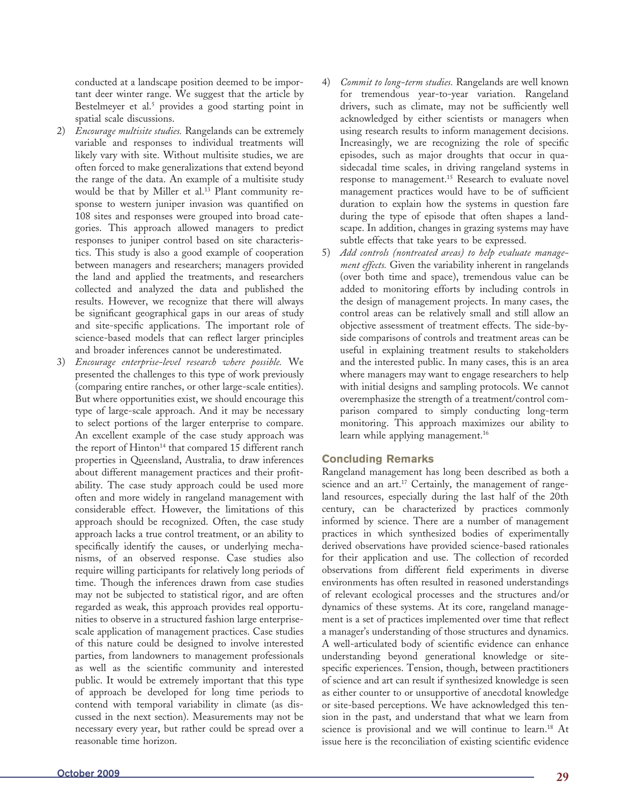conducted at a landscape position deemed to be important deer winter range. We suggest that the article by Bestelmeyer et al.<sup>5</sup> provides a good starting point in spatial scale discussions.

- 2) *Encourage multisite studies.* Rangelands can be extremely variable and responses to individual treatments will likely vary with site. Without multisite studies, we are often forced to make generalizations that extend beyond the range of the data. An example of a multisite study would be that by Miller et al.<sup>13</sup> Plant community response to western juniper invasion was quantified on 108 sites and responses were grouped into broad categories. This approach allowed managers to predict responses to juniper control based on site characteristics. This study is also a good example of cooperation between managers and researchers; managers provided the land and applied the treatments, and researchers collected and analyzed the data and published the results. However, we recognize that there will always be significant geographical gaps in our areas of study and site-specific applications. The important role of science-based models that can reflect larger principles and broader inferences cannot be underestimated.
- 3) *Encourage enterprise-level research where possible.* We presented the challenges to this type of work previously (comparing entire ranches, or other large-scale entities). But where opportunities exist, we should encourage this type of large-scale approach. And it may be necessary to select portions of the larger enterprise to compare. An excellent example of the case study approach was the report of Hinton<sup>14</sup> that compared 15 different ranch properties in Queensland, Australia, to draw inferences about different management practices and their profitability. The case study approach could be used more often and more widely in rangeland management with considerable effect. However, the limitations of this approach should be recognized. Often, the case study approach lacks a true control treatment, or an ability to specifically identify the causes, or underlying mechanisms, of an observed response. Case studies also require willing participants for relatively long periods of time. Though the inferences drawn from case studies may not be subjected to statistical rigor, and are often regarded as weak, this approach provides real opportunities to observe in a structured fashion large enterprisescale application of management practices. Case studies of this nature could be designed to involve interested parties, from landowners to management professionals as well as the scientific community and interested public. It would be extremely important that this type of approach be developed for long time periods to contend with temporal variability in climate (as discussed in the next section). Measurements may not be necessary every year, but rather could be spread over a reasonable time horizon.
- 4) *Commit to long-term studies.* Rangelands are well known for tremendous year-to-year variation. Rangeland drivers, such as climate, may not be sufficiently well acknowledged by either scientists or managers when using research results to inform management decisions. Increasingly, we are recognizing the role of specific episodes, such as major droughts that occur in quasidecadal time scales, in driving rangeland systems in response to management.<sup>15</sup> Research to evaluate novel management practices would have to be of sufficient duration to explain how the systems in question fare during the type of episode that often shapes a landscape. In addition, changes in grazing systems may have subtle effects that take years to be expressed.
- 5) *Add controls (nontreated areas) to help evaluate management effects.* Given the variability inherent in rangelands (over both time and space), tremendous value can be added to monitoring efforts by including controls in the design of management projects. In many cases, the control areas can be relatively small and still allow an objective assessment of treatment effects. The side-byside comparisons of controls and treatment areas can be useful in explaining treatment results to stakeholders and the interested public. In many cases, this is an area where managers may want to engage researchers to help with initial designs and sampling protocols. We cannot overemphasize the strength of a treatment/control comparison compared to simply conducting long-term monitoring. This approach maximizes our ability to learn while applying management.<sup>16</sup>

#### **Concluding Remarks**

Rangeland management has long been described as both a science and an art.<sup>17</sup> Certainly, the management of rangeland resources, especially during the last half of the 20th century, can be characterized by practices commonly informed by science. There are a number of management practices in which synthesized bodies of experimentally derived observations have provided science-based rationales for their application and use. The collection of recorded observations from different field experiments in diverse environments has often resulted in reasoned understandings of relevant ecological processes and the structures and/or dynamics of these systems. At its core, rangeland management is a set of practices implemented over time that reflect a manager's understanding of those structures and dynamics. A well-articulated body of scientific evidence can enhance understanding beyond generational knowledge or sitespecific experiences. Tension, though, between practitioners of science and art can result if synthesized knowledge is seen as either counter to or unsupportive of anecdotal knowledge or site-based perceptions. We have acknowledged this tension in the past, and understand that what we learn from science is provisional and we will continue to learn.<sup>18</sup> At issue here is the reconciliation of existing scientific evidence